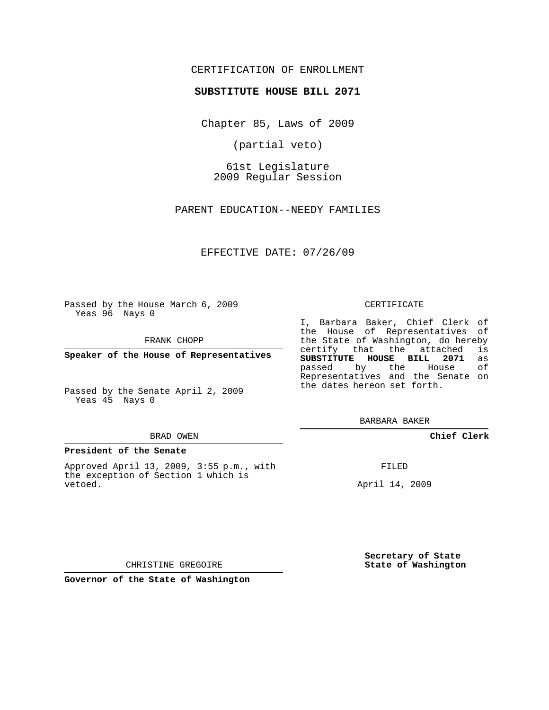# CERTIFICATION OF ENROLLMENT

## **SUBSTITUTE HOUSE BILL 2071**

Chapter 85, Laws of 2009

(partial veto)

61st Legislature 2009 Regular Session

PARENT EDUCATION--NEEDY FAMILIES

EFFECTIVE DATE: 07/26/09

Passed by the House March 6, 2009 Yeas 96 Nays 0

FRANK CHOPP

**Speaker of the House of Representatives**

Passed by the Senate April 2, 2009 Yeas 45 Nays 0

#### BRAD OWEN

### **President of the Senate**

Approved April 13, 2009, 3:55 p.m., with the exception of Section 1 which is vetoed.

#### CERTIFICATE

I, Barbara Baker, Chief Clerk of the House of Representatives of the State of Washington, do hereby<br>certify that the attached is certify that the attached **SUBSTITUTE HOUSE BILL 2071** as passed by the House of Representatives and the Senate on the dates hereon set forth.

BARBARA BAKER

**Chief Clerk**

FILED

April 14, 2009

**Secretary of State State of Washington**

CHRISTINE GREGOIRE

**Governor of the State of Washington**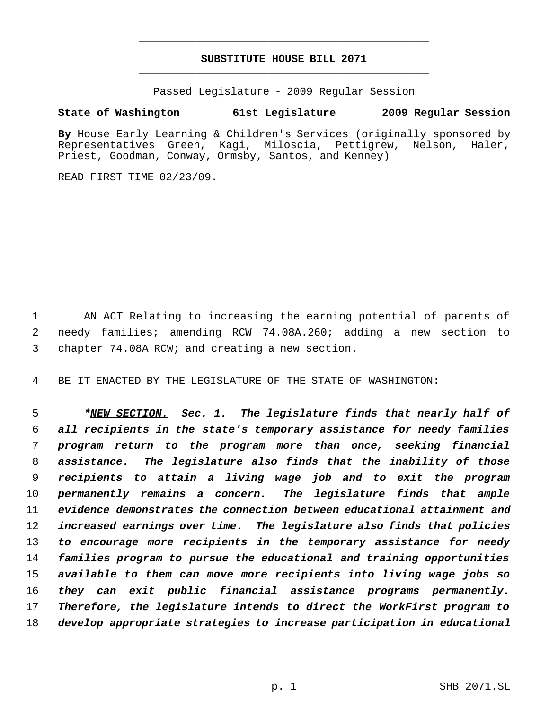# **SUBSTITUTE HOUSE BILL 2071** \_\_\_\_\_\_\_\_\_\_\_\_\_\_\_\_\_\_\_\_\_\_\_\_\_\_\_\_\_\_\_\_\_\_\_\_\_\_\_\_\_\_\_\_\_

\_\_\_\_\_\_\_\_\_\_\_\_\_\_\_\_\_\_\_\_\_\_\_\_\_\_\_\_\_\_\_\_\_\_\_\_\_\_\_\_\_\_\_\_\_

Passed Legislature - 2009 Regular Session

# **State of Washington 61st Legislature 2009 Regular Session**

**By** House Early Learning & Children's Services (originally sponsored by Representatives Green, Kagi, Miloscia, Pettigrew, Nelson, Haler, Priest, Goodman, Conway, Ormsby, Santos, and Kenney)

READ FIRST TIME 02/23/09.

 AN ACT Relating to increasing the earning potential of parents of needy families; amending RCW 74.08A.260; adding a new section to chapter 74.08A RCW; and creating a new section.

BE IT ENACTED BY THE LEGISLATURE OF THE STATE OF WASHINGTON:

 *\*NEW SECTION. Sec. 1. The legislature finds that nearly half of all recipients in the state's temporary assistance for needy families program return to the program more than once, seeking financial assistance. The legislature also finds that the inability of those recipients to attain a living wage job and to exit the program permanently remains a concern. The legislature finds that ample evidence demonstrates the connection between educational attainment and increased earnings over time. The legislature also finds that policies to encourage more recipients in the temporary assistance for needy families program to pursue the educational and training opportunities available to them can move more recipients into living wage jobs so they can exit public financial assistance programs permanently. Therefore, the legislature intends to direct the WorkFirst program to develop appropriate strategies to increase participation in educational*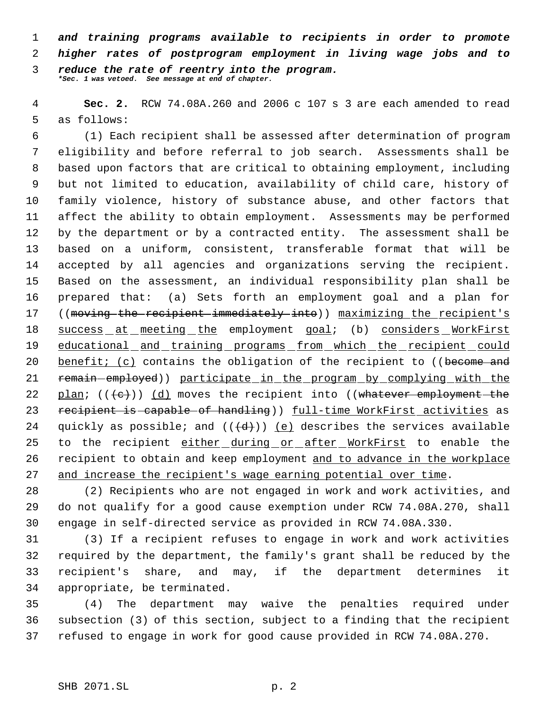*and training programs available to recipients in order to promote higher rates of postprogram employment in living wage jobs and to reduce the rate of reentry into the program. \*Sec. 1 was vetoed. See message at end of chapter.*

 **Sec. 2.** RCW 74.08A.260 and 2006 c 107 s 3 are each amended to read as follows:

 (1) Each recipient shall be assessed after determination of program eligibility and before referral to job search. Assessments shall be based upon factors that are critical to obtaining employment, including but not limited to education, availability of child care, history of family violence, history of substance abuse, and other factors that affect the ability to obtain employment. Assessments may be performed by the department or by a contracted entity. The assessment shall be based on a uniform, consistent, transferable format that will be accepted by all agencies and organizations serving the recipient. Based on the assessment, an individual responsibility plan shall be prepared that: (a) Sets forth an employment goal and a plan for 17 ((moving the recipient immediately into)) maximizing the recipient's success at meeting the employment goal; (b) considers WorkFirst educational and training programs from which the recipient could 20 benefit; (c) contains the obligation of the recipient to ((become and 21 remain-employed)) participate in the program by complying with the 22 plan;  $((e))$  (d) moves the recipient into ((whatever employment the 23 recipient is capable of handling)) full-time WorkFirst activities as 24 quickly as possible; and  $((\{d\})$  (e) describes the services available 25 to the recipient either during or after WorkFirst to enable the recipient to obtain and keep employment and to advance in the workplace and increase the recipient's wage earning potential over time.

 (2) Recipients who are not engaged in work and work activities, and do not qualify for a good cause exemption under RCW 74.08A.270, shall engage in self-directed service as provided in RCW 74.08A.330.

 (3) If a recipient refuses to engage in work and work activities required by the department, the family's grant shall be reduced by the recipient's share, and may, if the department determines it appropriate, be terminated.

 (4) The department may waive the penalties required under subsection (3) of this section, subject to a finding that the recipient refused to engage in work for good cause provided in RCW 74.08A.270.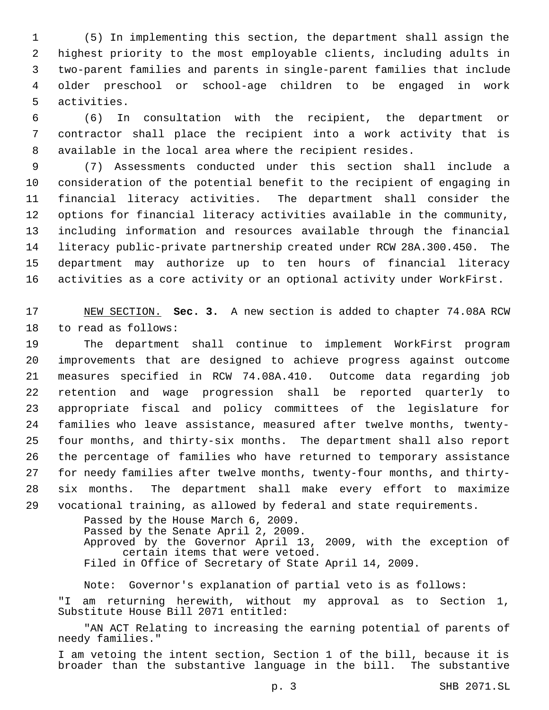(5) In implementing this section, the department shall assign the highest priority to the most employable clients, including adults in two-parent families and parents in single-parent families that include older preschool or school-age children to be engaged in work activities.

 (6) In consultation with the recipient, the department or contractor shall place the recipient into a work activity that is available in the local area where the recipient resides.

 (7) Assessments conducted under this section shall include a consideration of the potential benefit to the recipient of engaging in financial literacy activities. The department shall consider the options for financial literacy activities available in the community, including information and resources available through the financial literacy public-private partnership created under RCW 28A.300.450. The department may authorize up to ten hours of financial literacy activities as a core activity or an optional activity under WorkFirst.

 NEW SECTION. **Sec. 3.** A new section is added to chapter 74.08A RCW to read as follows:

 The department shall continue to implement WorkFirst program improvements that are designed to achieve progress against outcome measures specified in RCW 74.08A.410. Outcome data regarding job retention and wage progression shall be reported quarterly to appropriate fiscal and policy committees of the legislature for families who leave assistance, measured after twelve months, twenty- four months, and thirty-six months. The department shall also report the percentage of families who have returned to temporary assistance for needy families after twelve months, twenty-four months, and thirty- six months. The department shall make every effort to maximize vocational training, as allowed by federal and state requirements.

> Passed by the House March 6, 2009. Passed by the Senate April 2, 2009. Approved by the Governor April 13, 2009, with the exception of certain items that were vetoed. Filed in Office of Secretary of State April 14, 2009.

Note: Governor's explanation of partial veto is as follows: "I am returning herewith, without my approval as to Section 1, Substitute House Bill 2071 entitled:

"AN ACT Relating to increasing the earning potential of parents of needy families."

I am vetoing the intent section, Section 1 of the bill, because it is broader than the substantive language in the bill. The substantive